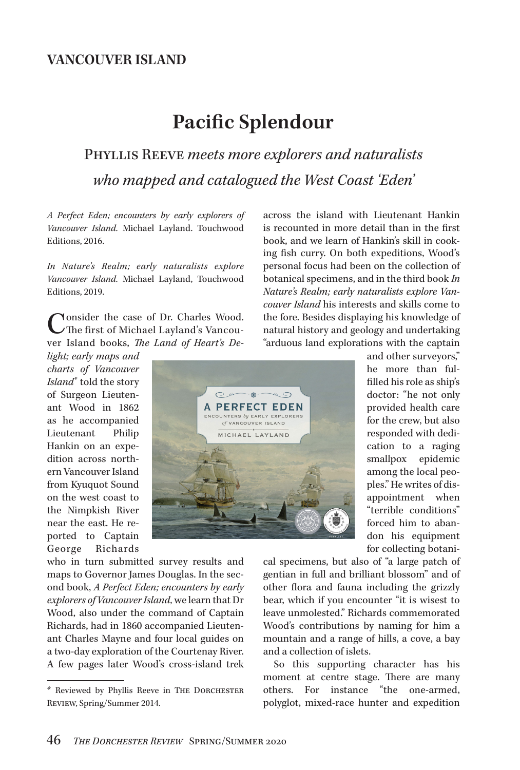# **Pacific Splendour**

## Phyllis Reeve *meets more explorers and naturalists who mapped and catalogued the West Coast 'Eden'*

*A Perfect Eden; encounters by early explorers of Vancouver Island.* Michael Layland. Touchwood Editions, 2016.

*In Nature's Realm; early naturalists explore Vancouver Island.* Michael Layland, Touchwood Editions, 2019.

Consider the case of Dr. Charles Wood.<br>
The first of Michael Layland's Vancouver Island books, *The Land of Heart's De-*

*light; early maps and charts of Vancouver Island\** told the story of Surgeon Lieutenant Wood in 1862 as he accompanied Lieutenant Philip Hankin on an expedition across northern Vancouver Island from Kyuquot Sound on the west coast to the Nimpkish River near the east. He reported to Captain George Richards

who in turn submitted survey results and maps to Governor James Douglas. In the second book, *A Perfect Eden; encounters by early explorers of Vancouver Island,* we learn that Dr Wood, also under the command of Captain Richards, had in 1860 accompanied Lieutenant Charles Mayne and four local guides on a two-day exploration of the Courtenay River. A few pages later Wood's cross-island trek across the island with Lieutenant Hankin is recounted in more detail than in the first book, and we learn of Hankin's skill in cooking fish curry. On both expeditions, Wood's personal focus had been on the collection of botanical specimens, and in the third book *In Nature's Realm; early naturalists explore Vancouver Island* his interests and skills come to the fore. Besides displaying his knowledge of natural history and geology and undertaking "arduous land explorations with the captain



and other surveyors," he more than fulfilled his role as ship's doctor: "he not only provided health care for the crew, but also responded with dedication to a raging smallpox epidemic among the local peoples." He writes of disappointment when "terrible conditions" forced him to abandon his equipment for collecting botani-

cal specimens, but also of "a large patch of gentian in full and brilliant blossom" and of other flora and fauna including the grizzly bear, which if you encounter "it is wisest to leave unmolested." Richards commemorated Wood's contributions by naming for him a mountain and a range of hills, a cove, a bay and a collection of islets.

So this supporting character has his moment at centre stage. There are many others. For instance "the one-armed, polyglot, mixed-race hunter and expedition

<sup>\*</sup> Reviewed by Phyllis Reeve in The Dorchester Review, Spring/Summer 2014.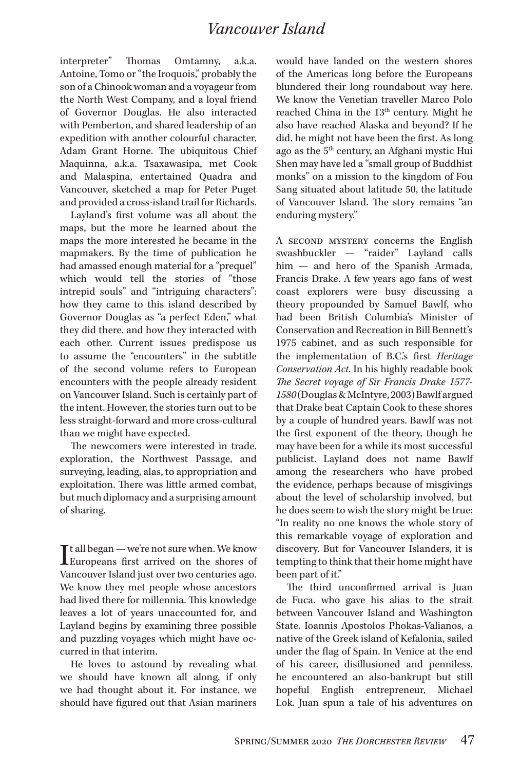interpreter" Thomas Omtamny, a.k.a. Antoine, Tomo or "the Iroquois," probably the son of a Chinook woman and a voyageur from the North West Company, and a loyal friend of Governor Douglas. He also interacted with Pemberton, and shared leadership of an expedition with another colourful character, Adam Grant Horne. The ubiquitous Chief Maquinna, a.k.a. Tsaxawasipa, met Cook and Malaspina, entertained Quadra and Vancouver, sketched a map for Peter Puget and provided a cross-island trail for Richards.

Layland's first volume was all about the maps, but the more he learned about the maps the more interested he became in the mapmakers. By the time of publication he had amassed enough material for a "prequel" which would tell the stories of "those intrepid souls" and "intriguing characters": how they came to this island described by Governor Douglas as "a perfect Eden," what they did there, and how they interacted with each other. Current issues predispose us to assume the "encounters" in the subtitle of the second volume refers to European encounters with the people already resident on Vancouver Island. Such is certainly part of the intent. However, the stories turn out to be less straight-forward and more cross-cultural than we might have expected.

The newcomers were interested in trade, exploration, the Northwest Passage, and surveying, leading, alas, to appropriation and exploitation. There was little armed combat, but much diplomacy and a surprising amount of sharing.

 $\prod_{\text{Europeanes first arrived on the shortest of the system}}$ Europeans first arrived on the shores of Vancouver Island just over two centuries ago. We know they met people whose ancestors had lived there for millennia. This knowledge leaves a lot of years unaccounted for, and Layland begins by examining three possible and puzzling voyages which might have occurred in that interim.

He loves to astound by revealing what we should have known all along, if only we had thought about it. For instance, we should have figured out that Asian mariners

would have landed on the western shores of the Americas long before the Europeans blundered their long roundabout way here. We know the Venetian traveller Marco Polo reached China in the 13<sup>th</sup> century. Might he also have reached Alaska and beyond? If he did, he might not have been the first. As long ago as the 5th century, an Afghani mystic Hui Shen may have led a "small group of Buddhist monks" on a mission to the kingdom of Fou Sang situated about latitude 50, the latitude of Vancouver Island. The story remains "an enduring mystery."

A second mystery concerns the English swashbuckler — "raider" Layland calls him — and hero of the Spanish Armada, Francis Drake. A few years ago fans of west coast explorers were busy discussing a theory propounded by Samuel Bawlf, who had been British Columbia's Minister of Conservation and Recreation in Bill Bennett's 1975 cabinet, and as such responsible for the implementation of B.C.'s first *Heritage Conservation Act*. In his highly readable book *The Secret voyage of Sir Francis Drake 1577- 1580* (Douglas & McIntyre, 2003) Bawlf argued that Drake beat Captain Cook to these shores by a couple of hundred years. Bawlf was not the first exponent of the theory, though he may have been for a while its most successful publicist. Layland does not name Bawlf among the researchers who have probed the evidence, perhaps because of misgivings about the level of scholarship involved, but he does seem to wish the story might be true: "In reality no one knows the whole story of this remarkable voyage of exploration and discovery. But for Vancouver Islanders, it is tempting to think that their home might have been part of it."

The third unconfirmed arrival is Juan de Fuca, who gave his alias to the strait between Vancouver Island and Washington State. Ioannis Apostolos Phokas-Valianos, a native of the Greek island of Kefalonia, sailed under the flag of Spain. In Venice at the end of his career, disillusioned and penniless, he encountered an also-bankrupt but still hopeful English entrepreneur, Michael Lok. Juan spun a tale of his adventures on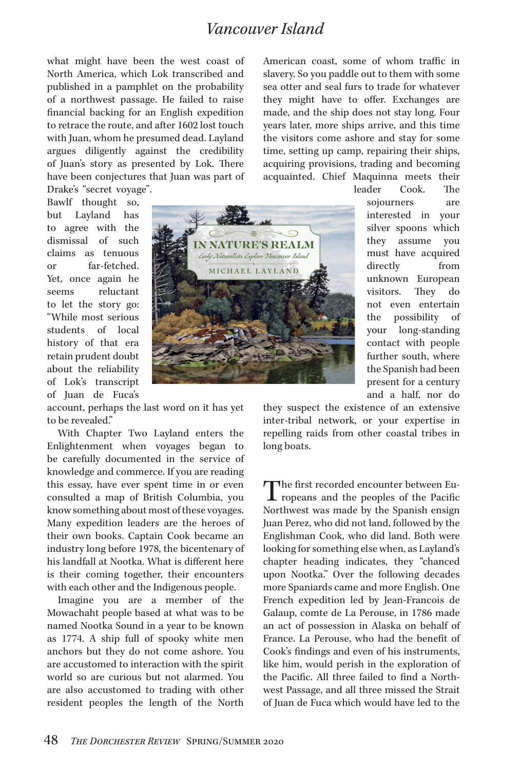what might have been the west coast of North America, which Lok transcribed and published in a pamphlet on the probability of a northwest passage. He failed to raise financial backing for an English expedition to retrace the route, and after 1602 lost touch with Juan, whom he presumed dead. Layland argues diligently against the credibility of Juan's story as presented by Lok. There have been conjectures that Juan was part of Drake's "secret voyage".

Bawlf thought so, but Layland has to agree with the dismissal of such claims as tenuous or far-fetched. Yet, once again he seems reluctant to let the story go: "While most serious students of local history of that era retain prudent doubt about the reliability of Lok's transcript of Juan de Fuca's



account, perhaps the last word on it has yet to be revealed."

With Chapter Two Layland enters the Enlightenment when voyages began to be carefully documented in the service of knowledge and commerce. If you are reading this essay, have ever spent time in or even consulted a map of British Columbia, you know something about most of these voyages. Many expedition leaders are the heroes of their own books. Captain Cook became an industry long before 1978, the bicentenary of his landfall at Nootka. What is different here is their coming together, their encounters with each other and the Indigenous people.

Imagine you are a member of the Mowachaht people based at what was to be named Nootka Sound in a year to be known as 1774. A ship full of spooky white men anchors but they do not come ashore. You are accustomed to interaction with the spirit world so are curious but not alarmed. You are also accustomed to trading with other resident peoples the length of the North American coast, some of whom traffic in slavery. So you paddle out to them with some sea otter and seal furs to trade for whatever they might have to offer. Exchanges are made, and the ship does not stay long. Four years later, more ships arrive, and this time the visitors come ashore and stay for some time, setting up camp, repairing their ships, acquiring provisions, trading and becoming acquainted. Chief Maquinna meets their

leader Cook. The sojourners are interested in your silver spoons which they assume you must have acquired directly from unknown European visitors. They do not even entertain the possibility of your long-standing contact with people further south, where the Spanish had been present for a century and a half, nor do

they suspect the existence of an extensive inter-tribal network, or your expertise in repelling raids from other coastal tribes in long boats.

The first recorded encounter between Europeans and the peoples of the Pacific Northwest was made by the Spanish ensign Juan Perez, who did not land, followed by the Englishman Cook, who did land. Both were looking for something else when, as Layland's chapter heading indicates, they "chanced upon Nootka." Over the following decades more Spaniards came and more English. One French expedition led by Jean-Francois de Galaup, comte de La Perouse, in 1786 made an act of possession in Alaska on behalf of France. La Perouse, who had the benefit of Cook's findings and even of his instruments, like him, would perish in the exploration of the Pacific. All three failed to find a Northwest Passage, and all three missed the Strait of Juan de Fuca which would have led to the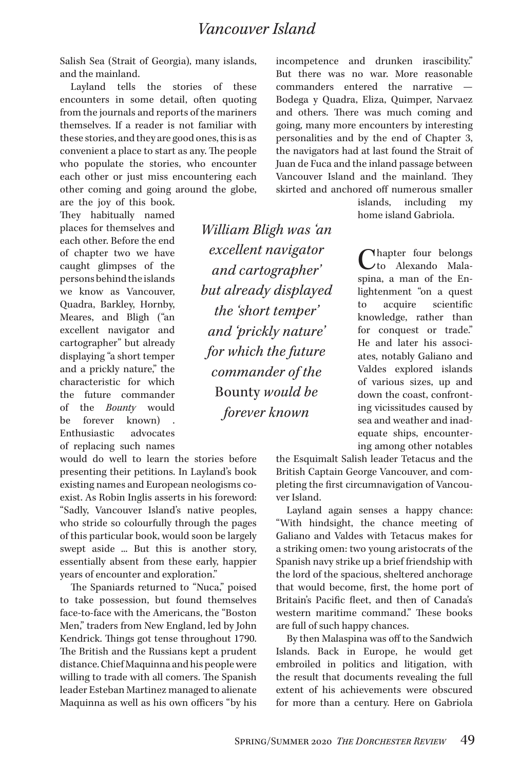Salish Sea (Strait of Georgia), many islands, and the mainland.

Layland tells the stories of these encounters in some detail, often quoting from the journals and reports of the mariners themselves. If a reader is not familiar with these stories, and they are good ones, this is as convenient a place to start as any. The people who populate the stories, who encounter each other or just miss encountering each other coming and going around the globe,

are the joy of this book. They habitually named places for themselves and each other. Before the end of chapter two we have caught glimpses of the persons behind the islands we know as Vancouver, Quadra, Barkley, Hornby, Meares, and Bligh ("an excellent navigator and cartographer" but already displaying "a short temper and a prickly nature," the characteristic for which the future commander of the *Bounty* would be forever known) Enthusiastic advocates of replacing such names

would do well to learn the stories before presenting their petitions. In Layland's book existing names and European neologisms coexist. As Robin Inglis asserts in his foreword: "Sadly, Vancouver Island's native peoples, who stride so colourfully through the pages of this particular book, would soon be largely swept aside ... But this is another story, essentially absent from these early, happier years of encounter and exploration."

The Spaniards returned to "Nuca," poised to take possession, but found themselves face-to-face with the Americans, the "Boston Men," traders from New England, led by John Kendrick. Things got tense throughout 1790. The British and the Russians kept a prudent distance. Chief Maquinna and his people were willing to trade with all comers. The Spanish leader Esteban Martinez managed to alienate Maquinna as well as his own officers "by his

*William Bligh was 'an excellent navigator and cartographer' but already displayed the 'short temper' and 'prickly nature' for which the future commander of the*  Bounty *would be forever known* 

incompetence and drunken irascibility." But there was no war. More reasonable commanders entered the narrative Bodega y Quadra, Eliza, Quimper, Narvaez and others. There was much coming and going, many more encounters by interesting personalities and by the end of Chapter 3, the navigators had at last found the Strait of Juan de Fuca and the inland passage between Vancouver Island and the mainland. They skirted and anchored off numerous smaller

> islands, including my home island Gabriola.

**Nhapter** four belongs to Alexando Malaspina, a man of the Enlightenment "on a quest to acquire scientific knowledge, rather than for conquest or trade." He and later his associates, notably Galiano and Valdes explored islands of various sizes, up and down the coast, confronting vicissitudes caused by sea and weather and inadequate ships, encountering among other notables

the Esquimalt Salish leader Tetacus and the British Captain George Vancouver, and completing the first circumnavigation of Vancouver Island.

Layland again senses a happy chance: "With hindsight, the chance meeting of Galiano and Valdes with Tetacus makes for a striking omen: two young aristocrats of the Spanish navy strike up a brief friendship with the lord of the spacious, sheltered anchorage that would become, first, the home port of Britain's Pacific fleet, and then of Canada's western maritime command." These books are full of such happy chances.

By then Malaspina was off to the Sandwich Islands. Back in Europe, he would get embroiled in politics and litigation, with the result that documents revealing the full extent of his achievements were obscured for more than a century. Here on Gabriola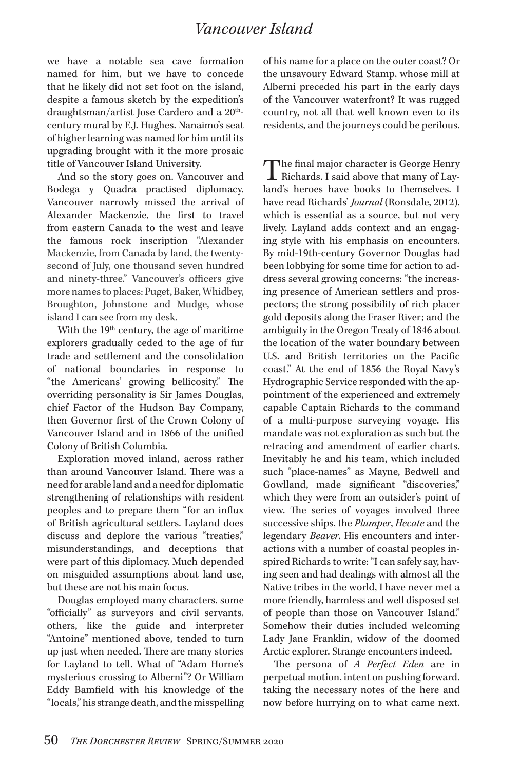we have a notable sea cave formation named for him, but we have to concede that he likely did not set foot on the island, despite a famous sketch by the expedition's draughtsman/artist Jose Cardero and a 20<sup>th</sup>century mural by E.J. Hughes. Nanaimo's seat of higher learning was named for him until its upgrading brought with it the more prosaic title of Vancouver Island University.

And so the story goes on. Vancouver and Bodega y Quadra practised diplomacy. Vancouver narrowly missed the arrival of Alexander Mackenzie, the first to travel from eastern Canada to the west and leave the famous rock inscription "Alexander Mackenzie, from Canada by land, the twentysecond of July, one thousand seven hundred and ninety-three." Vancouver's officers give more names to places: Puget, Baker, Whidbey, Broughton, Johnstone and Mudge, whose island I can see from my desk.

With the  $19<sup>th</sup>$  century, the age of maritime explorers gradually ceded to the age of fur trade and settlement and the consolidation of national boundaries in response to "the Americans' growing bellicosity." The overriding personality is Sir James Douglas, chief Factor of the Hudson Bay Company, then Governor first of the Crown Colony of Vancouver Island and in 1866 of the unified Colony of British Columbia.

Exploration moved inland, across rather than around Vancouver Island. There was a need for arable land and a need for diplomatic strengthening of relationships with resident peoples and to prepare them "for an influx of British agricultural settlers. Layland does discuss and deplore the various "treaties," misunderstandings, and deceptions that were part of this diplomacy. Much depended on misguided assumptions about land use, but these are not his main focus.

Douglas employed many characters, some "officially" as surveyors and civil servants, others, like the guide and interpreter "Antoine" mentioned above, tended to turn up just when needed. There are many stories for Layland to tell. What of "Adam Horne's mysterious crossing to Alberni"? Or William Eddy Bamfield with his knowledge of the "locals," his strange death, and the misspelling of his name for a place on the outer coast? Or the unsavoury Edward Stamp, whose mill at Alberni preceded his part in the early days of the Vancouver waterfront? It was rugged country, not all that well known even to its residents, and the journeys could be perilous.

The final major character is George Henry<br>Richards. I said above that many of Lay-<br>Law is home header to the maghine. I land's heroes have books to themselves. I have read Richards' *Journal* (Ronsdale, 2012), which is essential as a source, but not very lively. Layland adds context and an engaging style with his emphasis on encounters. By mid-19th-century Governor Douglas had been lobbying for some time for action to address several growing concerns: "the increasing presence of American settlers and prospectors; the strong possibility of rich placer gold deposits along the Fraser River; and the ambiguity in the Oregon Treaty of 1846 about the location of the water boundary between U.S. and British territories on the Pacific coast." At the end of 1856 the Royal Navy's Hydrographic Service responded with the appointment of the experienced and extremely capable Captain Richards to the command of a multi-purpose surveying voyage. His mandate was not exploration as such but the retracing and amendment of earlier charts. Inevitably he and his team, which included such "place-names" as Mayne, Bedwell and Gowlland, made significant "discoveries," which they were from an outsider's point of view. The series of voyages involved three successive ships, the *Plumper*, *Hecate* and the legendary *Beaver*. His encounters and interactions with a number of coastal peoples inspired Richards to write: "I can safely say, having seen and had dealings with almost all the Native tribes in the world, I have never met a more friendly, harmless and well disposed set of people than those on Vancouver Island." Somehow their duties included welcoming Lady Jane Franklin, widow of the doomed Arctic explorer. Strange encounters indeed.

The persona of *A Perfect Eden* are in perpetual motion, intent on pushing forward, taking the necessary notes of the here and now before hurrying on to what came next.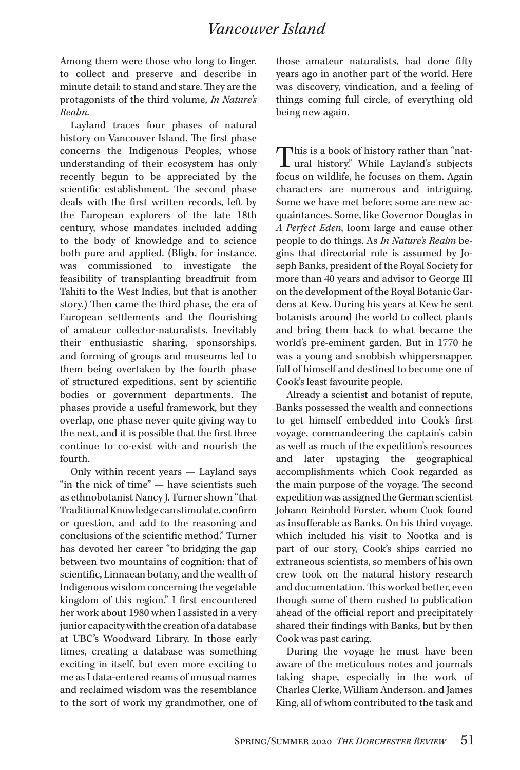Among them were those who long to linger, to collect and preserve and describe in minute detail: to stand and stare. They are the protagonists of the third volume, *In Nature's Realm*.

Layland traces four phases of natural history on Vancouver Island. The first phase concerns the Indigenous Peoples, whose understanding of their ecosystem has only recently begun to be appreciated by the scientific establishment. The second phase deals with the first written records, left by the European explorers of the late 18th century, whose mandates included adding to the body of knowledge and to science both pure and applied. (Bligh, for instance, was commissioned to investigate the feasibility of transplanting breadfruit from Tahiti to the West Indies, but that is another story.) Then came the third phase, the era of European settlements and the flourishing of amateur collector-naturalists. Inevitably their enthusiastic sharing, sponsorships, and forming of groups and museums led to them being overtaken by the fourth phase of structured expeditions, sent by scientific bodies or government departments. The phases provide a useful framework, but they overlap, one phase never quite giving way to the next, and it is possible that the first three continue to co-exist with and nourish the fourth.

Only within recent years — Layland says "in the nick of time" — have scientists such as ethnobotanist Nancy J. Turner shown "that Traditional Knowledge can stimulate, confirm or question, and add to the reasoning and conclusions of the scientific method." Turner has devoted her career "to bridging the gap between two mountains of cognition: that of scientific, Linnaean botany, and the wealth of Indigenous wisdom concerning the vegetable kingdom of this region." I first encountered her work about 1980 when I assisted in a very junior capacity with the creation of a database at UBC's Woodward Library. In those early times, creating a database was something exciting in itself, but even more exciting to me as I data-entered reams of unusual names and reclaimed wisdom was the resemblance to the sort of work my grandmother, one of

those amateur naturalists, had done fifty years ago in another part of the world. Here was discovery, vindication, and a feeling of things coming full circle, of everything old being new again.

This is a book of history rather than "nat-<br>ural history." While Layland's subjects<br>forms an wildlife has formate a subject focus on wildlife, he focuses on them. Again characters are numerous and intriguing. Some we have met before; some are new acquaintances. Some, like Governor Douglas in *A Perfect Eden*, loom large and cause other people to do things. As *In Nature's Realm* begins that directorial role is assumed by Joseph Banks, president of the Royal Society for more than 40 years and advisor to George III on the development of the Royal Botanic Gardens at Kew. During his years at Kew he sent botanists around the world to collect plants and bring them back to what became the world's pre-eminent garden. But in 1770 he was a young and snobbish whippersnapper, full of himself and destined to become one of Cook's least favourite people.

Already a scientist and botanist of repute, Banks possessed the wealth and connections to get himself embedded into Cook's first voyage, commandeering the captain's cabin as well as much of the expedition's resources and later upstaging the geographical accomplishments which Cook regarded as the main purpose of the voyage. The second expedition was assigned the German scientist Johann Reinhold Forster, whom Cook found as insufferable as Banks. On his third voyage, which included his visit to Nootka and is part of our story, Cook's ships carried no extraneous scientists, so members of his own crew took on the natural history research and documentation. This worked better, even though some of them rushed to publication ahead of the official report and precipitately shared their findings with Banks, but by then Cook was past caring.

During the voyage he must have been aware of the meticulous notes and journals taking shape, especially in the work of Charles Clerke, William Anderson, and James King, all of whom contributed to the task and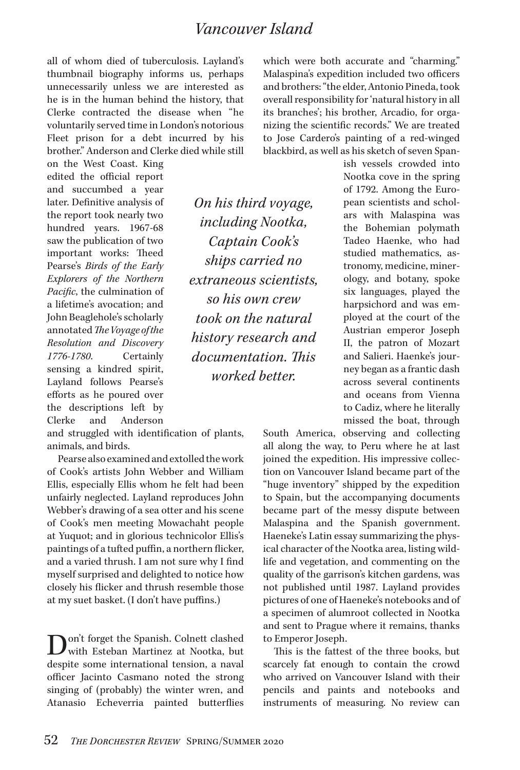all of whom died of tuberculosis. Layland's thumbnail biography informs us, perhaps unnecessarily unless we are interested as he is in the human behind the history, that Clerke contracted the disease when "he voluntarily served time in London's notorious Fleet prison for a debt incurred by his brother." Anderson and Clerke died while still

on the West Coast. King edited the official report and succumbed a year later. Definitive analysis of the report took nearly two hundred years. 1967-68 saw the publication of two important works: Theed Pearse's *Birds of the Early Explorers of the Northern Pacific*, the culmination of a lifetime's avocation; and John Beaglehole's scholarly annotated *The Voyage of the Resolution and Discovery 1776-1780*. Certainly sensing a kindred spirit, Layland follows Pearse's efforts as he poured over the descriptions left by Clerke and Anderson

*On his third voyage, including Nootka, Captain Cook's ships carried no extraneous scientists, so his own crew took on the natural history research and documentation. This worked better.*

which were both accurate and "charming." Malaspina's expedition included two officers and brothers: "the elder, Antonio Pineda, took overall responsibility for 'natural history in all its branches'; his brother, Arcadio, for organizing the scientific records." We are treated to Jose Cardero's painting of a red-winged blackbird, as well as his sketch of seven Span-

> ish vessels crowded into Nootka cove in the spring of 1792. Among the European scientists and scholars with Malaspina was the Bohemian polymath Tadeo Haenke, who had studied mathematics, astronomy, medicine, minerology, and botany, spoke six languages, played the harpsichord and was employed at the court of the Austrian emperor Joseph II, the patron of Mozart and Salieri. Haenke's journey began as a frantic dash across several continents and oceans from Vienna to Cadiz, where he literally missed the boat, through

South America, observing and collecting all along the way, to Peru where he at last joined the expedition. His impressive collection on Vancouver Island became part of the "huge inventory" shipped by the expedition to Spain, but the accompanying documents became part of the messy dispute between Malaspina and the Spanish government. Haeneke's Latin essay summarizing the physical character of the Nootka area, listing wildlife and vegetation, and commenting on the quality of the garrison's kitchen gardens, was not published until 1987. Layland provides pictures of one of Haeneke's notebooks and of a specimen of alumroot collected in Nootka and sent to Prague where it remains, thanks to Emperor Joseph.

This is the fattest of the three books, but scarcely fat enough to contain the crowd who arrived on Vancouver Island with their pencils and paints and notebooks and instruments of measuring. No review can

and struggled with identification of plants, animals, and birds.

Pearse also examined and extolled the work of Cook's artists John Webber and William Ellis, especially Ellis whom he felt had been unfairly neglected. Layland reproduces John Webber's drawing of a sea otter and his scene of Cook's men meeting Mowachaht people at Yuquot; and in glorious technicolor Ellis's paintings of a tufted puffin, a northern flicker, and a varied thrush. I am not sure why I find myself surprised and delighted to notice how closely his flicker and thrush resemble those at my suet basket. (I don't have puffins.)

Don't forget the Spanish. Colnett clashed with Esteban Martinez at Nootka, but despite some international tension, a naval officer Jacinto Casmano noted the strong singing of (probably) the winter wren, and Atanasio Echeverria painted butterflies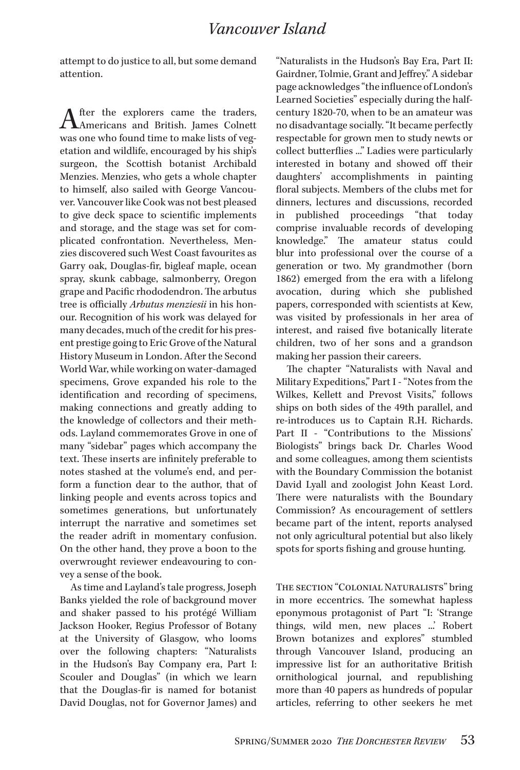attempt to do justice to all, but some demand attention.

After the explorers came the traders,<br>Americans and British. James Colnett was one who found time to make lists of vegetation and wildlife, encouraged by his ship's surgeon, the Scottish botanist Archibald Menzies. Menzies, who gets a whole chapter to himself, also sailed with George Vancouver. Vancouver like Cook was not best pleased to give deck space to scientific implements and storage, and the stage was set for complicated confrontation. Nevertheless, Menzies discovered such West Coast favourites as Garry oak, Douglas-fir, bigleaf maple, ocean spray, skunk cabbage, salmonberry, Oregon grape and Pacific rhododendron. The arbutus tree is officially *Arbutus menziesii* in his honour. Recognition of his work was delayed for many decades, much of the credit for his present prestige going to Eric Grove of the Natural History Museum in London. After the Second World War, while working on water-damaged specimens, Grove expanded his role to the identification and recording of specimens, making connections and greatly adding to the knowledge of collectors and their methods. Layland commemorates Grove in one of many "sidebar" pages which accompany the text. These inserts are infinitely preferable to notes stashed at the volume's end, and perform a function dear to the author, that of linking people and events across topics and sometimes generations, but unfortunately interrupt the narrative and sometimes set the reader adrift in momentary confusion. On the other hand, they prove a boon to the overwrought reviewer endeavouring to convey a sense of the book.

As time and Layland's tale progress, Joseph Banks yielded the role of background mover and shaker passed to his protégé William Jackson Hooker, Regius Professor of Botany at the University of Glasgow, who looms over the following chapters: "Naturalists in the Hudson's Bay Company era, Part I: Scouler and Douglas" (in which we learn that the Douglas-fir is named for botanist David Douglas, not for Governor James) and

"Naturalists in the Hudson's Bay Era, Part II: Gairdner, Tolmie, Grant and Jeffrey." A sidebar page acknowledges "the influence of London's Learned Societies" especially during the halfcentury 1820-70, when to be an amateur was no disadvantage socially. "It became perfectly respectable for grown men to study newts or collect butterflies ..." Ladies were particularly interested in botany and showed off their daughters' accomplishments in painting floral subjects. Members of the clubs met for dinners, lectures and discussions, recorded in published proceedings "that today comprise invaluable records of developing knowledge." The amateur status could blur into professional over the course of a generation or two. My grandmother (born 1862) emerged from the era with a lifelong avocation, during which she published papers, corresponded with scientists at Kew, was visited by professionals in her area of interest, and raised five botanically literate children, two of her sons and a grandson making her passion their careers.

The chapter "Naturalists with Naval and Military Expeditions," Part I - "Notes from the Wilkes, Kellett and Prevost Visits," follows ships on both sides of the 49th parallel, and re-introduces us to Captain R.H. Richards. Part II - "Contributions to the Missions' Biologists" brings back Dr. Charles Wood and some colleagues, among them scientists with the Boundary Commission the botanist David Lyall and zoologist John Keast Lord. There were naturalists with the Boundary Commission? As encouragement of settlers became part of the intent, reports analysed not only agricultural potential but also likely spots for sports fishing and grouse hunting.

The section "Colonial Naturalists" bring in more eccentrics. The somewhat hapless eponymous protagonist of Part "I: 'Strange things, wild men, new places ...' Robert Brown botanizes and explores" stumbled through Vancouver Island, producing an impressive list for an authoritative British ornithological journal, and republishing more than 40 papers as hundreds of popular articles, referring to other seekers he met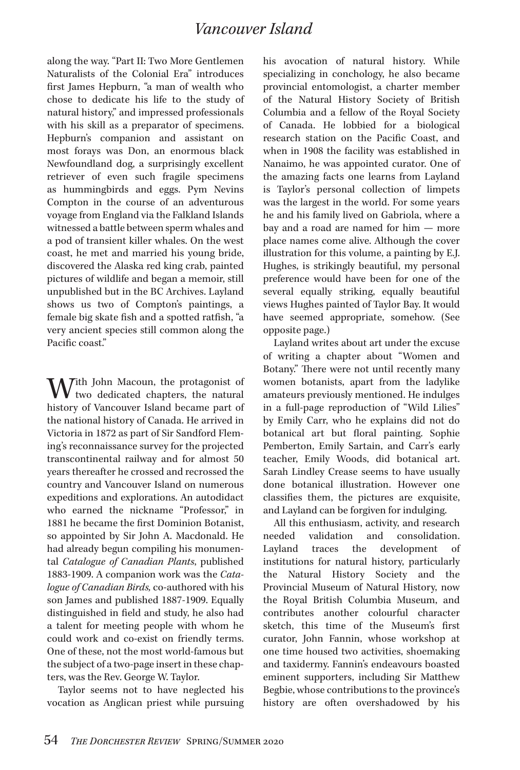along the way. "Part II: Two More Gentlemen Naturalists of the Colonial Era" introduces first James Hepburn, "a man of wealth who chose to dedicate his life to the study of natural history," and impressed professionals with his skill as a preparator of specimens. Hepburn's companion and assistant on most forays was Don, an enormous black Newfoundland dog, a surprisingly excellent retriever of even such fragile specimens as hummingbirds and eggs. Pym Nevins Compton in the course of an adventurous voyage from England via the Falkland Islands witnessed a battle between sperm whales and a pod of transient killer whales. On the west coast, he met and married his young bride, discovered the Alaska red king crab, painted pictures of wildlife and began a memoir, still unpublished but in the BC Archives. Layland shows us two of Compton's paintings, a female big skate fish and a spotted ratfish, "a very ancient species still common along the Pacific coast."

With John Macoun, the protagonist of<br>history of Venezuem Island because went of history of Vancouver Island became part of the national history of Canada. He arrived in Victoria in 1872 as part of Sir Sandford Fleming's reconnaissance survey for the projected transcontinental railway and for almost 50 years thereafter he crossed and recrossed the country and Vancouver Island on numerous expeditions and explorations. An autodidact who earned the nickname "Professor." in 1881 he became the first Dominion Botanist, so appointed by Sir John A. Macdonald. He had already begun compiling his monumental *Catalogue of Canadian Plants*, published 1883-1909. A companion work was the *Catalogue of Canadian Birds,* co-authored with his son James and published 1887-1909. Equally distinguished in field and study, he also had a talent for meeting people with whom he could work and co-exist on friendly terms. One of these, not the most world-famous but the subject of a two-page insert in these chapters, was the Rev. George W. Taylor.

Taylor seems not to have neglected his vocation as Anglican priest while pursuing his avocation of natural history. While specializing in conchology, he also became provincial entomologist, a charter member of the Natural History Society of British Columbia and a fellow of the Royal Society of Canada. He lobbied for a biological research station on the Pacific Coast, and when in 1908 the facility was established in Nanaimo, he was appointed curator. One of the amazing facts one learns from Layland is Taylor's personal collection of limpets was the largest in the world. For some years he and his family lived on Gabriola, where a bay and a road are named for him — more place names come alive. Although the cover illustration for this volume, a painting by E.J. Hughes, is strikingly beautiful, my personal preference would have been for one of the several equally striking, equally beautiful views Hughes painted of Taylor Bay. It would have seemed appropriate, somehow. (See opposite page.)

Layland writes about art under the excuse of writing a chapter about "Women and Botany." There were not until recently many women botanists, apart from the ladylike amateurs previously mentioned. He indulges in a full-page reproduction of "Wild Lilies" by Emily Carr, who he explains did not do botanical art but floral painting. Sophie Pemberton, Emily Sartain, and Carr's early teacher, Emily Woods, did botanical art. Sarah Lindley Crease seems to have usually done botanical illustration. However one classifies them, the pictures are exquisite, and Layland can be forgiven for indulging.

All this enthusiasm, activity, and research needed validation and consolidation. Layland traces the development of institutions for natural history, particularly the Natural History Society and the Provincial Museum of Natural History, now the Royal British Columbia Museum, and contributes another colourful character sketch, this time of the Museum's first curator, John Fannin, whose workshop at one time housed two activities, shoemaking and taxidermy. Fannin's endeavours boasted eminent supporters, including Sir Matthew Begbie, whose contributions to the province's history are often overshadowed by his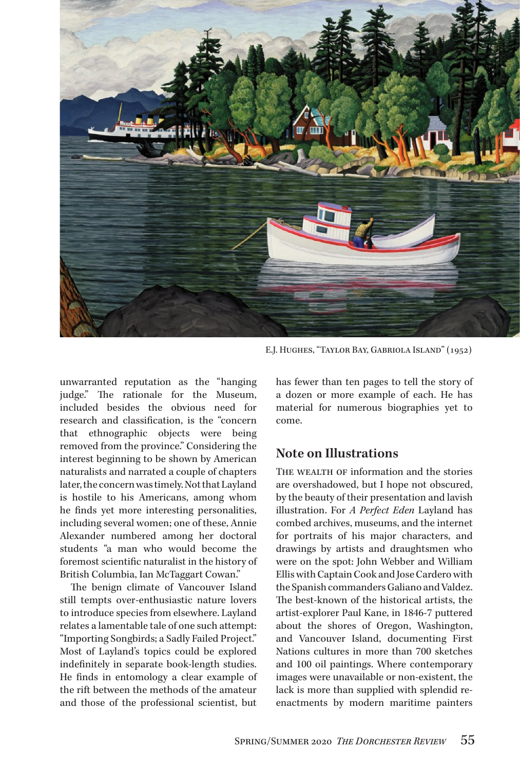

E.J. Hughes, "Taylor Bay, Gabriola Island" (1952)

unwarranted reputation as the "hanging judge." The rationale for the Museum, included besides the obvious need for research and classification, is the "concern that ethnographic objects were being removed from the province." Considering the interest beginning to be shown by American naturalists and narrated a couple of chapters later, the concern was timely. Not that Layland is hostile to his Americans, among whom he finds yet more interesting personalities, including several women; one of these, Annie Alexander numbered among her doctoral students "a man who would become the foremost scientific naturalist in the history of British Columbia, Ian McTaggart Cowan."

The benign climate of Vancouver Island still tempts over-enthusiastic nature lovers to introduce species from elsewhere. Layland relates a lamentable tale of one such attempt: "Importing Songbirds; a Sadly Failed Project." Most of Layland's topics could be explored indefinitely in separate book-length studies. He finds in entomology a clear example of the rift between the methods of the amateur and those of the professional scientist, but has fewer than ten pages to tell the story of a dozen or more example of each. He has material for numerous biographies yet to come.

#### **Note on Illustrations**

THE WEALTH OF information and the stories are overshadowed, but I hope not obscured, by the beauty of their presentation and lavish illustration. For *A Perfect Eden* Layland has combed archives, museums, and the internet for portraits of his major characters, and drawings by artists and draughtsmen who were on the spot: John Webber and William Ellis with Captain Cook and Jose Cardero with the Spanish commanders Galiano and Valdez. The best-known of the historical artists, the artist-explorer Paul Kane, in 1846-7 puttered about the shores of Oregon, Washington, and Vancouver Island, documenting First Nations cultures in more than 700 sketches and 100 oil paintings. Where contemporary images were unavailable or non-existent, the lack is more than supplied with splendid reenactments by modern maritime painters